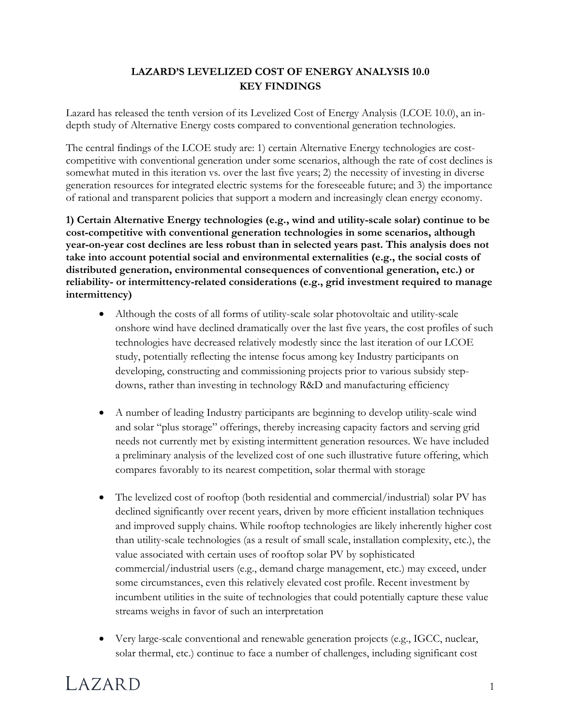## **LAZARD'S LEVELIZED COST OF ENERGY ANALYSIS 10.0 KEY FINDINGS**

Lazard has released the tenth version of its Levelized Cost of Energy Analysis (LCOE 10.0), an indepth study of Alternative Energy costs compared to conventional generation technologies.

The central findings of the LCOE study are: 1) certain Alternative Energy technologies are costcompetitive with conventional generation under some scenarios, although the rate of cost declines is somewhat muted in this iteration vs. over the last five years; 2) the necessity of investing in diverse generation resources for integrated electric systems for the foreseeable future; and 3) the importance of rational and transparent policies that support a modern and increasingly clean energy economy.

**1) Certain Alternative Energy technologies (e.g., wind and utility-scale solar) continue to be cost-competitive with conventional generation technologies in some scenarios, although year-on-year cost declines are less robust than in selected years past. This analysis does not take into account potential social and environmental externalities (e.g., the social costs of distributed generation, environmental consequences of conventional generation, etc.) or reliability- or intermittency-related considerations (e.g., grid investment required to manage intermittency)**

- Although the costs of all forms of utility-scale solar photovoltaic and utility-scale onshore wind have declined dramatically over the last five years, the cost profiles of such technologies have decreased relatively modestly since the last iteration of our LCOE study, potentially reflecting the intense focus among key Industry participants on developing, constructing and commissioning projects prior to various subsidy stepdowns, rather than investing in technology R&D and manufacturing efficiency
- A number of leading Industry participants are beginning to develop utility-scale wind and solar "plus storage" offerings, thereby increasing capacity factors and serving grid needs not currently met by existing intermittent generation resources. We have included a preliminary analysis of the levelized cost of one such illustrative future offering, which compares favorably to its nearest competition, solar thermal with storage
- The levelized cost of rooftop (both residential and commercial/industrial) solar PV has declined significantly over recent years, driven by more efficient installation techniques and improved supply chains. While rooftop technologies are likely inherently higher cost than utility-scale technologies (as a result of small scale, installation complexity, etc.), the value associated with certain uses of rooftop solar PV by sophisticated commercial/industrial users (e.g., demand charge management, etc.) may exceed, under some circumstances, even this relatively elevated cost profile. Recent investment by incumbent utilities in the suite of technologies that could potentially capture these value streams weighs in favor of such an interpretation
- Very large-scale conventional and renewable generation projects (e.g., IGCC, nuclear, solar thermal, etc.) continue to face a number of challenges, including significant cost